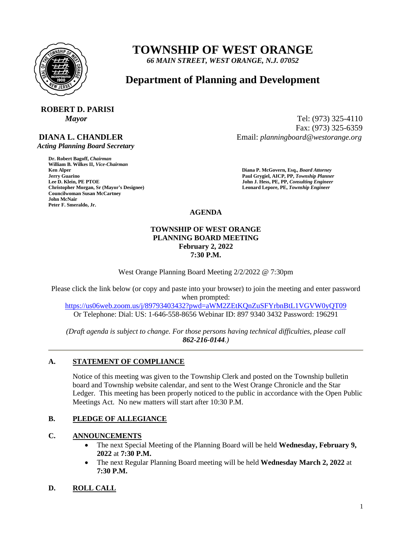

# **TOWNSHIP OF WEST ORANGE**

*66 MAIN STREET, WEST ORANGE, N.J. 07052*

## **Department of Planning and Development**

## **ROBERT D. PARISI**

## **DIANA L. CHANDLER**

 *Acting Planning Board Secretary*

**Dr. Robert Bagoff,** *Chairman*  **William B. Wilkes II,** *Vice-Chairman*  **Faul Grygiel, AICP, PP,** *Township Planner* **<b>Lee D. Klein, PE PTOE Properties and** *Solution* **Paul Grygiel, AICP, PP,** *Township Planner**Lee D. Klein, PE PTOE* **Christopher Morgan, Sr (Mayor's Designee) Leonard Lepore, PE,** *Township Engineer*  **Councilwoman Susan McCartney John McNair Peter F. Smeraldo, Jr.** 

*Mayor* Tel: (973) 325-4110 Fax: (973) 325-6359 Email: *planningboard@westorange.org*

> **Ken Alper****Diana P. McGovern, Esq.,** *Board Attorney*  **John J. Hess, PE, PP,** *Consulting Engineer*

**AGENDA**

### **TOWNSHIP OF WEST ORANGE PLANNING BOARD MEETING February 2, 2022 7:30 P.M.**

West Orange Planning Board Meeting 2/2/2022 @ 7:30pm

Please click the link below (or copy and paste into your browser) to join the meeting and enter password when prompted:

<https://us06web.zoom.us/j/89793403432?pwd=aWM2ZEtKQnZuSFYrbnBtL1VGVW0yQT09> Or Telephone: Dial: US: 1-646-558-8656 Webinar ID: 897 9340 3432 Password: 196291

*(Draft agenda is subject to change. For those persons having technical difficulties, please call 862-216-0144.)*

## **A. STATEMENT OF COMPLIANCE**

Notice of this meeting was given to the Township Clerk and posted on the Township bulletin board and Township website calendar, and sent to the West Orange Chronicle and the Star Ledger. This meeting has been properly noticed to the public in accordance with the Open Public Meetings Act. No new matters will start after 10:30 P.M.

## **B. PLEDGE OF ALLEGIANCE**

## **C. ANNOUNCEMENTS**

- The next Special Meeting of the Planning Board will be held **Wednesday, February 9, 2022** at **7:30 P.M.**
- The next Regular Planning Board meeting will be held **Wednesday March 2, 2022** at **7:30 P.M.**

## **D. ROLL CALL**